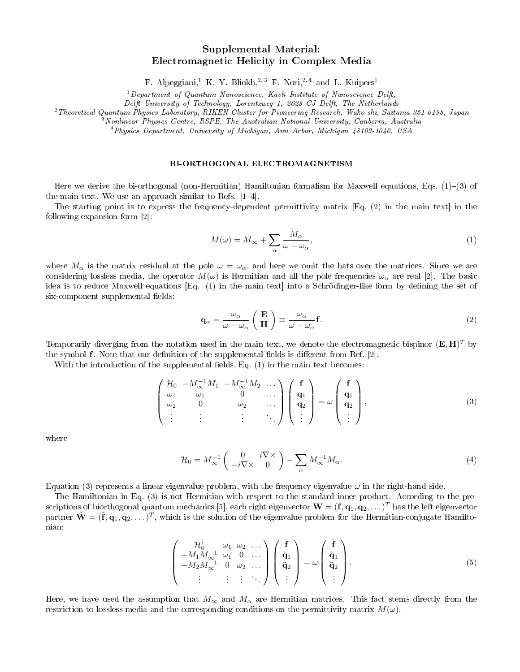## Supplemental Material: Electromagnetic Helicity in Complex Media

F. Alpeggiani,<sup>1</sup> K. Y. Bliokh,<sup>2,3</sup> F. Nori,<sup>2,4</sup> and L. Kuipers<sup>1</sup>

 $1$  Department of Quantum Nanoscience, Kavli Institute of Nanoscience Delft,

Delft University of Technology, Lorentzweg 1, 2628 CJ Delft, The Netherlands

<sup>2</sup>Theoretical Quantum Physics Laboratory, RIKEN Cluster for Pioneering Research, Wako-shi, Saitama 351-0198, Japan

<sup>3</sup>Nonlinear Physics Centre, RSPE, The Australian National University, Canberra, Australia

<sup>4</sup>Physics Department, University of Michigan, Ann Arbor, Michigan 48109-1040, USA

## BI-ORTHOGONAL ELECTROMAGNETISM

Here we derive the bi-orthogonal (non-Hermitian) Hamiltonian formalism for Maxwell equations, Eqs.  $(1)-(3)$  of the main text. We use an approach similar to Refs.  $|1-4|$ .

The starting point is to express the frequency-dependent permittivity matrix [Eq. (2) in the main text] in the following expansion form [2]:

$$
M(\omega) = M_{\infty} + \sum_{\alpha} \frac{M_{\alpha}}{\omega - \omega_{\alpha}},\tag{1}
$$

where  $M_{\alpha}$  is the matrix residual at the pole  $\omega = \omega_{\alpha}$ , and here we omit the hats over the matrices. Since we are considering lossless media, the operator  $M(\omega)$  is Hermitian and all the pole frequencies  $\omega_{\alpha}$  are real [2]. The basic idea is to reduce Maxwell equations  $[Eq, (1)]$  in the main text into a Schrödinger-like form by defining the set of six-component supplemental fields:

$$
\mathbf{q}_{\alpha} = \frac{\omega_{\alpha}}{\omega - \omega_{\alpha}} \left( \begin{array}{c} \mathbf{E} \\ \mathbf{H} \end{array} \right) \equiv \frac{\omega_{\alpha}}{\omega - \omega_{\alpha}} \mathbf{f}.
$$
 (2)

Temporarily diverging from the notation used in the main text, we denote the electromagnetic bispinor  $(\mathbf{E},\mathbf{H})^T$  by the symbol  $f$ . Note that our definition of the supplemental fields is different from Ref. [2].

With the introduction of the supplemental fields, Eq.  $(1)$  in the main text becomes:

$$
\begin{pmatrix}\n\mathcal{H}_0 & -M_{\infty}^{-1}M_1 & -M_{\infty}^{-1}M_2 & \dots \\
\omega_1 & \omega_1 & 0 & \dots \\
\omega_2 & 0 & \omega_2 & \dots \\
\vdots & \vdots & \ddots & \end{pmatrix}\n\begin{pmatrix}\n\mathbf{f} \\
\mathbf{q}_1 \\
\mathbf{q}_2 \\
\vdots\n\end{pmatrix} = \omega \begin{pmatrix}\n\mathbf{f} \\
\mathbf{q}_1 \\
\mathbf{q}_2 \\
\vdots\n\end{pmatrix},\n\tag{3}
$$

where

$$
\mathcal{H}_0 = M_{\infty}^{-1} \begin{pmatrix} 0 & i \nabla \times \\ -i \nabla \times & 0 \end{pmatrix} - \sum_{\alpha} M_{\infty}^{-1} M_{\alpha}.
$$
 (4)

Equation (3) represents a linear eigenvalue problem, with the frequency eigenvalue  $\omega$  in the right-hand side.

The Hamiltonian in Eq. (3) is not Hermitian with respect to the standard inner product. According to the prescriptions of biorthogonal quantum mechanics [5], each right eigenvector  $\mathbf{W}=(\mathbf{f},\mathbf{q}_1,\mathbf{q}_2,\dots)^T$  has the left eigenvector partner  $\tilde{W} = (\tilde{f}, \tilde{q}_1, \tilde{q}_2, \ldots)^T$ , which is the solution of the eigenvalue problem for the Hermitian-conjugate Hamiltonian:

$$
\begin{pmatrix}\n\mathcal{H}_0^{\dagger} & \omega_1 & \omega_2 & \dots \\
-M_1 M_{\infty}^{-1} & \omega_1 & 0 & \dots \\
-M_2 M_{\infty}^{-1} & 0 & \omega_2 & \dots \\
\vdots & \vdots & \vdots & \ddots\n\end{pmatrix}\n\begin{pmatrix}\n\tilde{\mathbf{f}} \\
\tilde{\mathbf{q}}_1 \\
\tilde{\mathbf{q}}_2 \\
\vdots\n\end{pmatrix} = \omega \begin{pmatrix}\n\tilde{\mathbf{f}} \\
\tilde{\mathbf{q}}_1 \\
\tilde{\mathbf{q}}_2 \\
\vdots\n\end{pmatrix}.
$$
\n(5)

Here, we have used the assumption that  $M_{\infty}$  and  $M_{\alpha}$  are Hermitian matrices. This fact stems directly from the restriction to lossless media and the corresponding conditions on the permittivity matrix  $M(\omega)$ .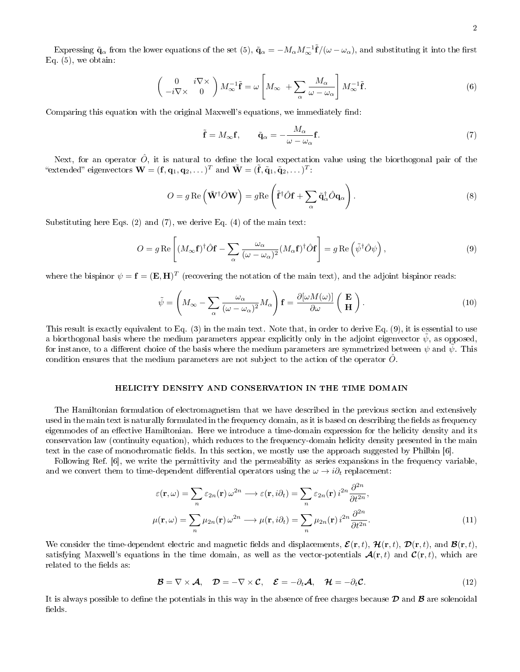Expressing  $\tilde{\mathbf{q}}_{\alpha}$  from the lower equations of the set (5),  $\tilde{\mathbf{q}}_{\alpha} = -M_{\alpha}M_{\infty}^{-1}\tilde{\mathbf{f}}/(\omega - \omega_{\alpha})$ , and substituting it into the first Eq.  $(5)$ , we obtain:

$$
\begin{pmatrix} 0 & i\nabla \times \\ -i\nabla \times & 0 \end{pmatrix} M_{\infty}^{-1} \tilde{\mathbf{f}} = \omega \left[ M_{\infty} + \sum_{\alpha} \frac{M_{\alpha}}{\omega - \omega_{\alpha}} \right] M_{\infty}^{-1} \tilde{\mathbf{f}}.
$$
 (6)

Comparing this equation with the original Maxwell's equations, we immediately find:

$$
\tilde{\mathbf{f}} = M_{\infty} \mathbf{f}, \qquad \tilde{\mathbf{q}}_{\alpha} = -\frac{M_{\alpha}}{\omega - \omega_{\alpha}} \mathbf{f}.
$$
\n(7)

Next, for an operator  $\hat{O}$ , it is natural to define the local expectation value using the biorthogonal pair of the "extended" eigenvectors  $\mathbf{W} = (\mathbf{f}, \mathbf{q}_1, \mathbf{q}_2, \dots)^T$  and  $\tilde{\mathbf{W}} = (\tilde{\mathbf{f}}, \tilde{\mathbf{q}}_1, \tilde{\mathbf{q}}_2, \dots)^T$ :

$$
O = g \operatorname{Re} \left( \tilde{\mathbf{W}}^{\dagger} \hat{O} \mathbf{W} \right) = g \operatorname{Re} \left( \tilde{\mathbf{f}}^{\dagger} \hat{O} \mathbf{f} + \sum_{\alpha} \tilde{\mathbf{q}}^{\dagger}_{\alpha} \hat{O} \mathbf{q}_{\alpha} \right). \tag{8}
$$

Substituting here Eqs. (2) and (7), we derive Eq. (4) of the main text:

$$
O = g \operatorname{Re} \left[ (M_{\infty} \mathbf{f})^{\dagger} \hat{O} \mathbf{f} - \sum_{\alpha} \frac{\omega_{\alpha}}{(\omega - \omega_{\alpha})^2} (M_{\alpha} \mathbf{f})^{\dagger} \hat{O} \mathbf{f} \right] = g \operatorname{Re} \left( \tilde{\psi}^{\dagger} \hat{O} \psi \right), \tag{9}
$$

where the bispinor  $\psi = \mathbf{f} = (\mathbf{E}, \mathbf{H})^T$  (recovering the notation of the main text), and the adjoint bispinor reads:

$$
\tilde{\psi} = \left( M_{\infty} - \sum_{\alpha} \frac{\omega_{\alpha}}{(\omega - \omega_{\alpha})^2} M_{\alpha} \right) \mathbf{f} = \frac{\partial [\omega M(\omega)]}{\partial \omega} \left( \begin{array}{c} \mathbf{E} \\ \mathbf{H} \end{array} \right).
$$
\n(10)

This result is exactly equivalent to Eq. (3) in the main text. Note that, in order to derive Eq. (9), it is essential to use a biorthogonal basis where the medium parameters appear explicitly only in the adjoint eigenvector  $\psi$ , as opposed, for instance, to a different choice of the basis where the medium parameters are symmetrized between  $\psi$  and  $\tilde{\psi}$ . This condition ensures that the medium parameters are not subject to the action of the operator  $\hat{O}$ .

## HELICITY DENSITY AND CONSERVATION IN THE TIME DOMAIN

The Hamiltonian formulation of electromagnetism that we have described in the previous section and extensively used in the main text is naturally formulated in the frequency domain, as it is based on describing the fields as frequency eigenmodes of an effective Hamiltonian. Here we introduce a time-domain expression for the helicity density and its conservation law (continuity equation), which reduces to the frequency-domain helicity density presented in the main text in the case of monochromatic fields. In this section, we mostly use the approach suggested by Philbin [6].

Following Ref. [6], we write the permittivity and the permeability as series expansions in the frequency variable, and we convert them to time-dependent differential operators using the  $\omega \to i\partial_t$  replacement:

$$
\varepsilon(\mathbf{r}, \omega) = \sum_{n} \varepsilon_{2n}(\mathbf{r}) \omega^{2n} \longrightarrow \varepsilon(\mathbf{r}, i\partial_{t}) = \sum_{n} \varepsilon_{2n}(\mathbf{r}) i^{2n} \frac{\partial^{2n}}{\partial t^{2n}},
$$

$$
\mu(\mathbf{r}, \omega) = \sum_{n} \mu_{2n}(\mathbf{r}) \omega^{2n} \longrightarrow \mu(\mathbf{r}, i\partial_{t}) = \sum_{n} \mu_{2n}(\mathbf{r}) i^{2n} \frac{\partial^{2n}}{\partial t^{2n}}.
$$
(11)

We consider the time-dependent electric and magnetic fields and displacements,  $\mathcal{E}(\mathbf{r},t)$ ,  $\mathcal{H}(\mathbf{r},t)$ ,  $\mathcal{D}(\mathbf{r},t)$ , and  $\mathcal{B}(\mathbf{r},t)$ , satisfying Maxwell's equations in the time domain, as well as the vector-potentials  $\mathcal{A}(\mathbf{r},t)$  and  $\mathcal{C}(\mathbf{r},t)$ , which are related to the fields as:

$$
\mathcal{B} = \nabla \times \mathcal{A}, \quad \mathcal{D} = -\nabla \times \mathcal{C}, \quad \mathcal{E} = -\partial_t \mathcal{A}, \quad \mathcal{H} = -\partial_t \mathcal{C}.
$$
 (12)

It is always possible to define the potentials in this way in the absence of free charges because  $\mathcal D$  and  $\mathcal B$  are solenoidal fields.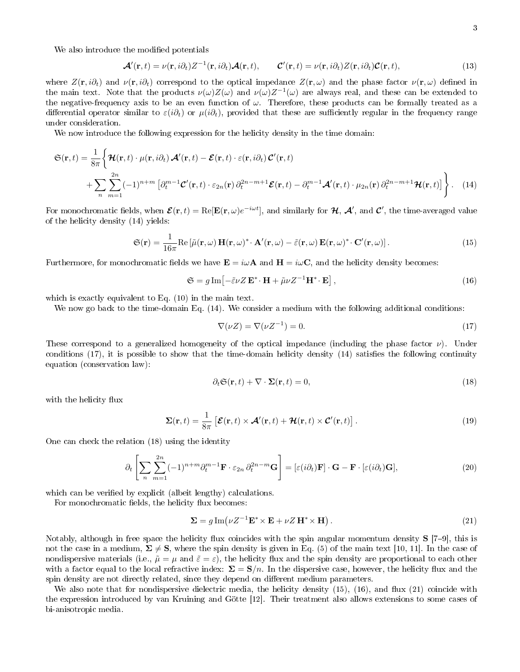We also introduce the modified potentials

$$
\mathcal{A}'(\mathbf{r},t) = \nu(\mathbf{r},i\partial_t)Z^{-1}(\mathbf{r},i\partial_t)\mathcal{A}(\mathbf{r},t), \qquad \mathcal{C}'(\mathbf{r},t) = \nu(\mathbf{r},i\partial_t)Z(\mathbf{r},i\partial_t)\mathcal{C}(\mathbf{r},t), \qquad (13)
$$

where  $Z(\mathbf{r}, i\partial_t)$  and  $\nu(\mathbf{r}, i\partial_t)$  correspond to the optical impedance  $Z(\mathbf{r}, \omega)$  and the phase factor  $\nu(\mathbf{r}, \omega)$  defined in the main text. Note that the products  $\nu(\omega)Z(\omega)$  and  $\nu(\omega)Z^{-1}(\omega)$  are always real, and these can be extended to the negative-frequency axis to be an even function of  $\omega$ . Therefore, these products can be formally treated as a differential operator similar to  $\varepsilon(i\partial_t)$  or  $\mu(i\partial_t)$ , provided that these are sufficiently regular in the frequency range under consideration.

We now introduce the following expression for the helicity density in the time domain:

$$
\mathfrak{S}(\mathbf{r},t) = \frac{1}{8\pi} \Big\{ \mathcal{H}(\mathbf{r},t) \cdot \mu(\mathbf{r},i\partial_t) \mathcal{A}'(\mathbf{r},t) - \mathcal{E}(\mathbf{r},t) \cdot \varepsilon(\mathbf{r},i\partial_t) \mathcal{C}'(\mathbf{r},t) + \sum_{n} \sum_{m=1}^{2n} (-1)^{n+m} \left[ \partial_t^{m-1} \mathcal{C}'(\mathbf{r},t) \cdot \varepsilon_{2n}(\mathbf{r}) \partial_t^{2n-m+1} \mathcal{E}(\mathbf{r},t) - \partial_t^{m-1} \mathcal{A}'(\mathbf{r},t) \cdot \mu_{2n}(\mathbf{r}) \partial_t^{2n-m+1} \mathcal{H}(\mathbf{r},t) \Big] \Big\}.
$$
 (14)

For monochromatic fields, when  $\mathcal{E}(\mathbf{r},t) = \text{Re}[\mathbf{E}(\mathbf{r},\omega)e^{-i\omega t}]$ , and similarly for  $\mathcal{H},\ \mathcal{A}'$ , and  $\mathcal{C}'$ , the time-averaged value of the helicity density (14) yields:

$$
\mathfrak{S}(\mathbf{r}) = \frac{1}{16\pi} \text{Re} \left[ \tilde{\mu}(\mathbf{r}, \omega) \mathbf{H}(\mathbf{r}, \omega)^* \cdot \mathbf{A}'(\mathbf{r}, \omega) - \tilde{\varepsilon}(\mathbf{r}, \omega) \mathbf{E}(\mathbf{r}, \omega)^* \cdot \mathbf{C}'(\mathbf{r}, \omega) \right]. \tag{15}
$$

Furthermore, for monochromatic fields we have  $\mathbf{E} = i\omega \mathbf{A}$  and  $\mathbf{H} = i\omega \mathbf{C}$ , and the helicity density becomes:

$$
\mathfrak{S} = g \operatorname{Im} \left[ -\tilde{\varepsilon} \nu Z \mathbf{E}^* \cdot \mathbf{H} + \tilde{\mu} \nu Z^{-1} \mathbf{H}^* \cdot \mathbf{E} \right],\tag{16}
$$

which is exactly equivalent to Eq. (10) in the main text.

We now go back to the time-domain Eq.  $(14)$ . We consider a medium with the following additional conditions:

$$
\nabla(\nu Z) = \nabla(\nu Z^{-1}) = 0. \tag{17}
$$

These correspond to a generalized homogeneity of the optical impedance (including the phase factor  $\nu$ ). Under conditions  $(17)$ , it is possible to show that the time-domain helicity density  $(14)$  satisfies the following continuity equation (conservation law):

$$
\partial_t \mathfrak{S}(\mathbf{r}, t) + \nabla \cdot \mathbf{\Sigma}(\mathbf{r}, t) = 0,\tag{18}
$$

with the helicity flux

$$
\Sigma(\mathbf{r},t) = \frac{1}{8\pi} \left[ \mathcal{E}(\mathbf{r},t) \times \mathcal{A}'(\mathbf{r},t) + \mathcal{H}(\mathbf{r},t) \times \mathcal{C}'(\mathbf{r},t) \right]. \tag{19}
$$

One can check the relation (18) using the identity

$$
\partial_t \left[ \sum_n \sum_{m=1}^{2n} (-1)^{n+m} \partial_t^{m-1} \mathbf{F} \cdot \varepsilon_{2n} \partial_t^{2n-m} \mathbf{G} \right] = \left[ \varepsilon(i\partial_t) \mathbf{F} \right] \cdot \mathbf{G} - \mathbf{F} \cdot \left[ \varepsilon(i\partial_t) \mathbf{G} \right],\tag{20}
$$

which can be verified by explicit (albeit lengthy) calculations.

For monochromatic fields, the helicity flux becomes:

$$
\mathbf{\Sigma} = g \operatorname{Im} (\nu Z^{-1} \mathbf{E}^* \times \mathbf{E} + \nu Z \mathbf{H}^* \times \mathbf{H}). \tag{21}
$$

Notably, although in free space the helicity flux coincides with the spin angular momentum density  $S$  [7–9], this is not the case in a medium,  $\Sigma \neq S$ , where the spin density is given in Eq. (5) of the main text [10, 11]. In the case of nondispersive materials (i.e.,  $\tilde{\mu} = \mu$  and  $\tilde{\varepsilon} = \varepsilon$ ), the helicity flux and the spin density are proportional to each other with a factor equal to the local refractive index:  $\Sigma = S/n$ . In the dispersive case, however, the helicity flux and the spin density are not directly related, since they depend on different medium parameters.

We also note that for nondispersive dielectric media, the helicity density  $(15)$ ,  $(16)$ , and flux  $(21)$  coincide with the expression introduced by van Kruining and Götte [12]. Their treatment also allows extensions to some cases of bi-anisotropic media.